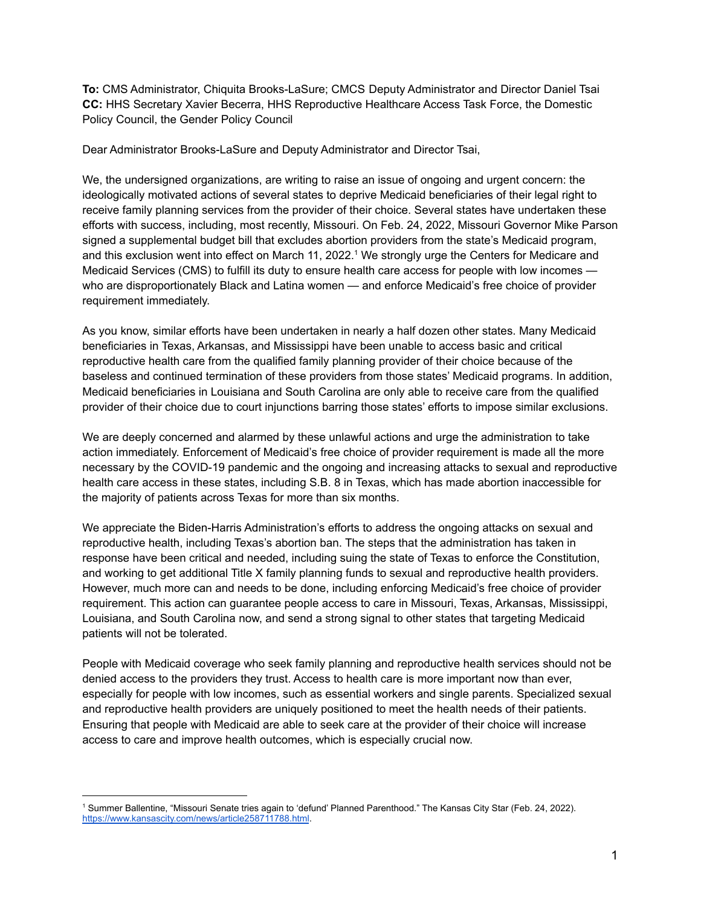**To:** CMS Administrator, Chiquita Brooks-LaSure; CMCS Deputy Administrator and Director Daniel Tsai **CC:** HHS Secretary Xavier Becerra, HHS Reproductive Healthcare Access Task Force, the Domestic Policy Council, the Gender Policy Council

Dear Administrator Brooks-LaSure and Deputy Administrator and Director Tsai,

We, the undersigned organizations, are writing to raise an issue of ongoing and urgent concern: the ideologically motivated actions of several states to deprive Medicaid beneficiaries of their legal right to receive family planning services from the provider of their choice. Several states have undertaken these efforts with success, including, most recently, Missouri. On Feb. 24, 2022, Missouri Governor Mike Parson signed a supplemental budget bill that excludes abortion providers from the state's Medicaid program, and this exclusion went into effect on March 11, 2022. <sup>1</sup> We strongly urge the Centers for Medicare and Medicaid Services (CMS) to fulfill its duty to ensure health care access for people with low incomes who are disproportionately Black and Latina women — and enforce Medicaid's free choice of provider requirement immediately.

As you know, similar efforts have been undertaken in nearly a half dozen other states. Many Medicaid beneficiaries in Texas, Arkansas, and Mississippi have been unable to access basic and critical reproductive health care from the qualified family planning provider of their choice because of the baseless and continued termination of these providers from those states' Medicaid programs. In addition, Medicaid beneficiaries in Louisiana and South Carolina are only able to receive care from the qualified provider of their choice due to court injunctions barring those states' efforts to impose similar exclusions.

We are deeply concerned and alarmed by these unlawful actions and urge the administration to take action immediately. Enforcement of Medicaid's free choice of provider requirement is made all the more necessary by the COVID-19 pandemic and the ongoing and increasing attacks to sexual and reproductive health care access in these states, including S.B. 8 in Texas, which has made abortion inaccessible for the majority of patients across Texas for more than six months.

We appreciate the Biden-Harris Administration's efforts to address the ongoing attacks on sexual and reproductive health, including Texas's abortion ban. The steps that the administration has taken in response have been critical and needed, including suing the state of Texas to enforce the Constitution, and working to get additional Title X family planning funds to sexual and reproductive health providers. However, much more can and needs to be done, including enforcing Medicaid's free choice of provider requirement. This action can guarantee people access to care in Missouri, Texas, Arkansas, Mississippi, Louisiana, and South Carolina now, and send a strong signal to other states that targeting Medicaid patients will not be tolerated.

People with Medicaid coverage who seek family planning and reproductive health services should not be denied access to the providers they trust. Access to health care is more important now than ever, especially for people with low incomes, such as essential workers and single parents. Specialized sexual and reproductive health providers are uniquely positioned to meet the health needs of their patients. Ensuring that people with Medicaid are able to seek care at the provider of their choice will increase access to care and improve health outcomes, which is especially crucial now.

<sup>1</sup> Summer Ballentine, "Missouri Senate tries again to 'defund' Planned Parenthood." The Kansas City Star (Feb. 24, 2022). <https://www.kansascity.com/news/article258711788.html>.